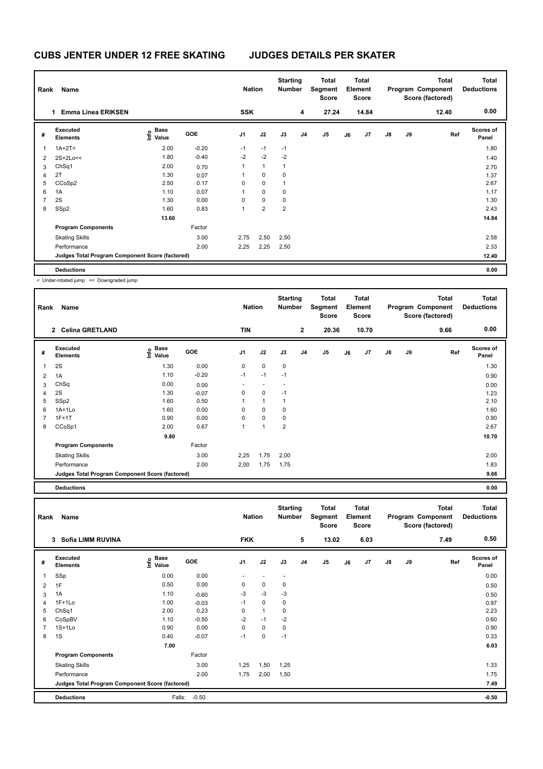## **CUBS JENTER UNDER 12 FREE SKATING JUDGES DETAILS PER SKATER**

| Rank           | <b>Name</b>                                     |                                           |         | <b>Nation</b> |                | <b>Starting</b><br>Number |                | Total<br>Segment<br><b>Score</b> |    | Total<br>Element<br><b>Score</b> |               |    | <b>Total</b><br>Program Component<br>Score (factored) | <b>Total</b><br><b>Deductions</b> |
|----------------|-------------------------------------------------|-------------------------------------------|---------|---------------|----------------|---------------------------|----------------|----------------------------------|----|----------------------------------|---------------|----|-------------------------------------------------------|-----------------------------------|
|                | <b>Emma Linea ERIKSEN</b><br>1                  |                                           |         | <b>SSK</b>    |                |                           | 4              | 27.24                            |    | 14.84                            |               |    | 12.40                                                 | 0.00                              |
| #              | <b>Executed</b><br><b>Elements</b>              | $\frac{e}{E}$ Base<br>$\frac{E}{E}$ Value | GOE     | J1            | J2             | J3                        | J <sub>4</sub> | J <sub>5</sub>                   | J6 | J7                               | $\mathsf{J}8$ | J9 | Ref                                                   | <b>Scores of</b><br>Panel         |
| 1              | $1A+2T2$                                        | 2.00                                      | $-0.20$ | $-1$          | $-1$           | $-1$                      |                |                                  |    |                                  |               |    |                                                       | 1.80                              |
| 2              | $2S+2Lo<<$                                      | 1.80                                      | $-0.40$ | $-2$          | $-2$           | $-2$                      |                |                                  |    |                                  |               |    |                                                       | 1.40                              |
| 3              | Ch <sub>Sq1</sub>                               | 2.00                                      | 0.70    | 1             | $\mathbf{1}$   | $\mathbf{1}$              |                |                                  |    |                                  |               |    |                                                       | 2.70                              |
| 4              | 2T                                              | 1.30                                      | 0.07    | 1             | 0              | 0                         |                |                                  |    |                                  |               |    |                                                       | 1.37                              |
| 5              | CCoSp2                                          | 2.50                                      | 0.17    | 0             | $\mathbf 0$    | 1                         |                |                                  |    |                                  |               |    |                                                       | 2.67                              |
| 6              | 1A                                              | 1.10                                      | 0.07    | 1             | $\mathbf 0$    | $\mathbf 0$               |                |                                  |    |                                  |               |    |                                                       | 1.17                              |
| $\overline{7}$ | 2S                                              | 1.30                                      | 0.00    | $\Omega$      | $\mathbf 0$    | 0                         |                |                                  |    |                                  |               |    |                                                       | 1.30                              |
| 8              | SSp2                                            | 1.60                                      | 0.83    | 1             | $\overline{2}$ | $\overline{2}$            |                |                                  |    |                                  |               |    |                                                       | 2.43                              |
|                |                                                 | 13.60                                     |         |               |                |                           |                |                                  |    |                                  |               |    |                                                       | 14.84                             |
|                | <b>Program Components</b>                       |                                           | Factor  |               |                |                           |                |                                  |    |                                  |               |    |                                                       |                                   |
|                | <b>Skating Skills</b>                           |                                           | 3.00    | 2,75          | 2,50           | 2,50                      |                |                                  |    |                                  |               |    |                                                       | 2.58                              |
|                | Performance                                     |                                           | 2.00    | 2,25          | 2,25           | 2,50                      |                |                                  |    |                                  |               |    |                                                       | 2.33                              |
|                | Judges Total Program Component Score (factored) |                                           |         |               |                |                           |                |                                  |    |                                  |               |    |                                                       | 12.40                             |
|                | <b>Deductions</b>                               |                                           |         |               |                |                           |                |                                  |    |                                  |               |    |                                                       | 0.00                              |

< Under-rotated jump << Downgraded jump

| Name                        |                              |         |                                                 |                          |                |                | Total<br><b>Score</b>            |         |    |                                                  |    | <b>Total</b> | <b>Total</b><br><b>Deductions</b>            |
|-----------------------------|------------------------------|---------|-------------------------------------------------|--------------------------|----------------|----------------|----------------------------------|---------|----|--------------------------------------------------|----|--------------|----------------------------------------------|
|                             |                              |         | <b>TIN</b>                                      |                          |                | $\mathbf{2}$   | 20.36                            |         |    |                                                  |    | 9.66         | 0.00                                         |
| Executed<br><b>Elements</b> | <b>Base</b><br>lnfo<br>Value | GOE     | J <sub>1</sub>                                  | J2                       | J3             | J <sub>4</sub> | J <sub>5</sub>                   | J6      | J7 | $\mathsf{J}8$                                    | J9 |              | Scores of<br>Panel                           |
| 2S                          | 1.30                         | 0.00    | 0                                               | $\mathbf 0$              | $\mathbf 0$    |                |                                  |         |    |                                                  |    |              | 1.30                                         |
| 1A                          | 1.10                         | $-0.20$ | $-1$                                            | $-1$                     | $-1$           |                |                                  |         |    |                                                  |    |              | 0.90                                         |
| ChSq                        | 0.00                         | 0.00    | ٠                                               | $\overline{\phantom{a}}$ | ۰              |                |                                  |         |    |                                                  |    |              | 0.00                                         |
| 2S                          | 1.30                         | $-0.07$ | 0                                               | $\pmb{0}$                | $-1$           |                |                                  |         |    |                                                  |    |              | 1.23                                         |
| SSp2                        | 1.60                         | 0.50    | 1                                               | $\mathbf{1}$             | $\mathbf{1}$   |                |                                  |         |    |                                                  |    |              | 2.10                                         |
| $1A+1Lo$                    | 1.60                         | 0.00    | 0                                               | $\mathbf 0$              | 0              |                |                                  |         |    |                                                  |    |              | 1.60                                         |
| $1F+1T$                     | 0.90                         | 0.00    | 0                                               | $\mathbf 0$              | 0              |                |                                  |         |    |                                                  |    |              | 0.90                                         |
| CCoSp1                      | 2.00                         | 0.67    | 1                                               | 1                        | $\overline{2}$ |                |                                  |         |    |                                                  |    |              | 2.67                                         |
|                             | 9.80                         |         |                                                 |                          |                |                |                                  |         |    |                                                  |    |              | 10.70                                        |
| <b>Program Components</b>   |                              | Factor  |                                                 |                          |                |                |                                  |         |    |                                                  |    |              |                                              |
| <b>Skating Skills</b>       |                              | 3.00    | 2,25                                            | 1,75                     | 2,00           |                |                                  |         |    |                                                  |    |              | 2.00                                         |
| Performance                 |                              | 2.00    | 2,00                                            | 1,75                     | 1,75           |                |                                  |         |    |                                                  |    |              | 1.83                                         |
|                             |                              |         |                                                 |                          |                |                |                                  |         |    |                                                  |    |              | 9.66                                         |
|                             | Rank<br>2 Celina GRETLAND    |         | Judges Total Program Component Score (factored) |                          | <b>Nation</b>  |                | <b>Starting</b><br><b>Number</b> | Segment |    | <b>Total</b><br>Element<br><b>Score</b><br>10.70 |    |              | Program Component<br>Score (factored)<br>Ref |

**Deductions 0.00**

| Rank           | Name                                            |                                  |            | <b>Nation</b>            |                          | <b>Starting</b><br>Number |                | Total<br>Segment<br><b>Score</b> |    | Total<br>Element<br>Score |    |    | <b>Total</b><br>Program Component<br>Score (factored) | <b>Total</b><br><b>Deductions</b> |
|----------------|-------------------------------------------------|----------------------------------|------------|--------------------------|--------------------------|---------------------------|----------------|----------------------------------|----|---------------------------|----|----|-------------------------------------------------------|-----------------------------------|
|                | Sofia LIMM RUVINA<br>3                          |                                  |            | <b>FKK</b>               |                          |                           | 5              | 13.02                            |    | 6.03                      |    |    | 7.49                                                  | 0.50                              |
| #              | <b>Executed</b><br><b>Elements</b>              | <b>Base</b><br>⊖ Base<br>⊆ Value | <b>GOE</b> | J1                       | J2                       | J3                        | J <sub>4</sub> | J <sub>5</sub>                   | J6 | J <sub>7</sub>            | J8 | J9 | Ref                                                   | Scores of<br>Panel                |
| 1              | SSp                                             | 0.00                             | 0.00       | $\overline{\phantom{0}}$ | $\overline{\phantom{a}}$ | $\overline{\phantom{a}}$  |                |                                  |    |                           |    |    |                                                       | 0.00                              |
| 2              | 1F                                              | 0.50                             | 0.00       | 0                        | 0                        | 0                         |                |                                  |    |                           |    |    |                                                       | 0.50                              |
| 3              | 1A                                              | 1.10                             | $-0.60$    | $-3$                     | $-3$                     | $-3$                      |                |                                  |    |                           |    |    |                                                       | 0.50                              |
| 4              | $1F+1Lo$                                        | 1.00                             | $-0.03$    | $-1$                     | $\mathbf 0$              | 0                         |                |                                  |    |                           |    |    |                                                       | 0.97                              |
| 5              | Ch <sub>Sq1</sub>                               | 2.00                             | 0.23       | 0                        | $\mathbf{1}$             | 0                         |                |                                  |    |                           |    |    |                                                       | 2.23                              |
| 6              | CoSpBV                                          | 1.10                             | $-0.50$    | $-2$                     | $-1$                     | $-2$                      |                |                                  |    |                           |    |    |                                                       | 0.60                              |
| $\overline{7}$ | $1S+1Lo$                                        | 0.90                             | 0.00       | $\Omega$                 | $\mathbf 0$              | $\mathbf 0$               |                |                                  |    |                           |    |    |                                                       | 0.90                              |
| 8              | 1S                                              | 0.40                             | $-0.07$    | $-1$                     | $\mathbf 0$              | $-1$                      |                |                                  |    |                           |    |    |                                                       | 0.33                              |
|                |                                                 | 7.00                             |            |                          |                          |                           |                |                                  |    |                           |    |    |                                                       | 6.03                              |
|                | <b>Program Components</b>                       |                                  | Factor     |                          |                          |                           |                |                                  |    |                           |    |    |                                                       |                                   |
|                | <b>Skating Skills</b>                           |                                  | 3.00       | 1,25                     | 1,50                     | 1,25                      |                |                                  |    |                           |    |    |                                                       | 1.33                              |
|                | Performance                                     |                                  | 2.00       | 1,75                     | 2,00                     | 1,50                      |                |                                  |    |                           |    |    |                                                       | 1.75                              |
|                | Judges Total Program Component Score (factored) |                                  |            |                          |                          |                           |                |                                  |    |                           |    |    |                                                       | 7.49                              |
|                | <b>Deductions</b>                               | Falls:                           | $-0.50$    |                          |                          |                           |                |                                  |    |                           |    |    |                                                       | $-0.50$                           |